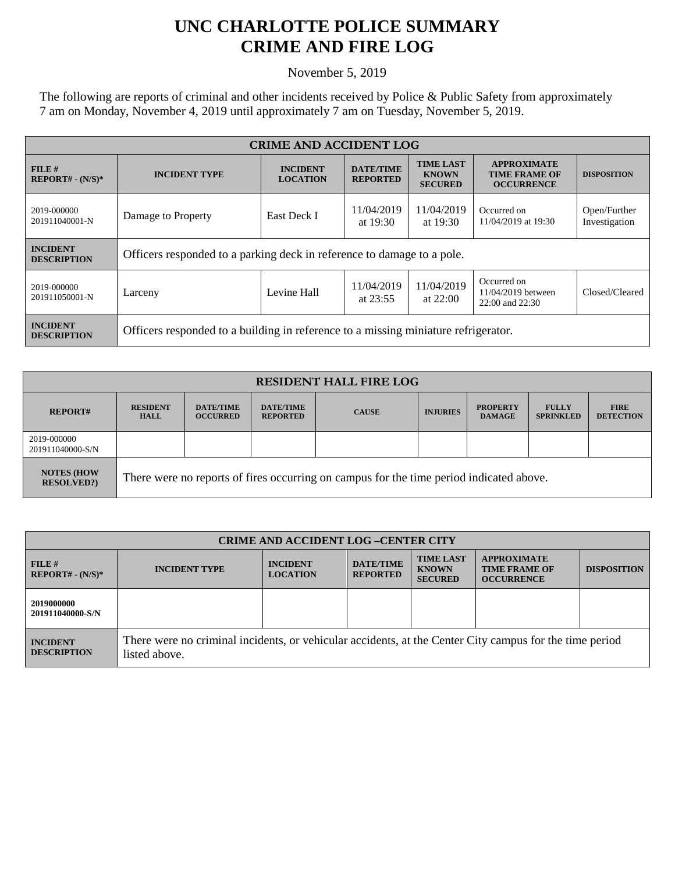## **UNC CHARLOTTE POLICE SUMMARY CRIME AND FIRE LOG**

November 5, 2019

The following are reports of criminal and other incidents received by Police & Public Safety from approximately 7 am on Monday, November 4, 2019 until approximately 7 am on Tuesday, November 5, 2019.

| <b>CRIME AND ACCIDENT LOG</b>         |                                                                                    |                                    |                                     |                                                    |                                                                 |                               |
|---------------------------------------|------------------------------------------------------------------------------------|------------------------------------|-------------------------------------|----------------------------------------------------|-----------------------------------------------------------------|-------------------------------|
| FILE H<br>$REPORT# - (N/S)*$          | <b>INCIDENT TYPE</b>                                                               | <b>INCIDENT</b><br><b>LOCATION</b> | <b>DATE/TIME</b><br><b>REPORTED</b> | <b>TIME LAST</b><br><b>KNOWN</b><br><b>SECURED</b> | <b>APPROXIMATE</b><br><b>TIME FRAME OF</b><br><b>OCCURRENCE</b> | <b>DISPOSITION</b>            |
| 2019-000000<br>201911040001-N         | Damage to Property                                                                 | East Deck I                        | 11/04/2019<br>at $19:30$            | 11/04/2019<br>at $19:30$                           | Occurred on<br>11/04/2019 at 19:30                              | Open/Further<br>Investigation |
| <b>INCIDENT</b><br><b>DESCRIPTION</b> | Officers responded to a parking deck in reference to damage to a pole.             |                                    |                                     |                                                    |                                                                 |                               |
| 2019-000000<br>201911050001-N         | Larceny                                                                            | Levine Hall                        | 11/04/2019<br>at $23:55$            | 11/04/2019<br>at $22:00$                           | Occurred on<br>11/04/2019 between<br>22:00 and 22:30            | Closed/Cleared                |
| <b>INCIDENT</b><br><b>DESCRIPTION</b> | Officers responded to a building in reference to a missing miniature refrigerator. |                                    |                                     |                                                    |                                                                 |                               |

| <b>RESIDENT HALL FIRE LOG</b>         |                                                                                         |                                     |                                     |              |                 |                                  |                                  |                                 |
|---------------------------------------|-----------------------------------------------------------------------------------------|-------------------------------------|-------------------------------------|--------------|-----------------|----------------------------------|----------------------------------|---------------------------------|
| <b>REPORT#</b>                        | <b>RESIDENT</b><br><b>HALL</b>                                                          | <b>DATE/TIME</b><br><b>OCCURRED</b> | <b>DATE/TIME</b><br><b>REPORTED</b> | <b>CAUSE</b> | <b>INJURIES</b> | <b>PROPERTY</b><br><b>DAMAGE</b> | <b>FULLY</b><br><b>SPRINKLED</b> | <b>FIRE</b><br><b>DETECTION</b> |
| 2019-000000<br>201911040000-S/N       |                                                                                         |                                     |                                     |              |                 |                                  |                                  |                                 |
| <b>NOTES (HOW</b><br><b>RESOLVED?</b> | There were no reports of fires occurring on campus for the time period indicated above. |                                     |                                     |              |                 |                                  |                                  |                                 |

| <b>CRIME AND ACCIDENT LOG-CENTER CITY</b> |                                                                                                                          |                                    |                                     |                                                    |                                                                 |                    |
|-------------------------------------------|--------------------------------------------------------------------------------------------------------------------------|------------------------------------|-------------------------------------|----------------------------------------------------|-----------------------------------------------------------------|--------------------|
| FILE#<br>$REPORT# - (N/S)*$               | <b>INCIDENT TYPE</b>                                                                                                     | <b>INCIDENT</b><br><b>LOCATION</b> | <b>DATE/TIME</b><br><b>REPORTED</b> | <b>TIME LAST</b><br><b>KNOWN</b><br><b>SECURED</b> | <b>APPROXIMATE</b><br><b>TIME FRAME OF</b><br><b>OCCURRENCE</b> | <b>DISPOSITION</b> |
| 2019000000<br>201911040000-S/N            |                                                                                                                          |                                    |                                     |                                                    |                                                                 |                    |
| <b>INCIDENT</b><br><b>DESCRIPTION</b>     | There were no criminal incidents, or vehicular accidents, at the Center City campus for the time period<br>listed above. |                                    |                                     |                                                    |                                                                 |                    |